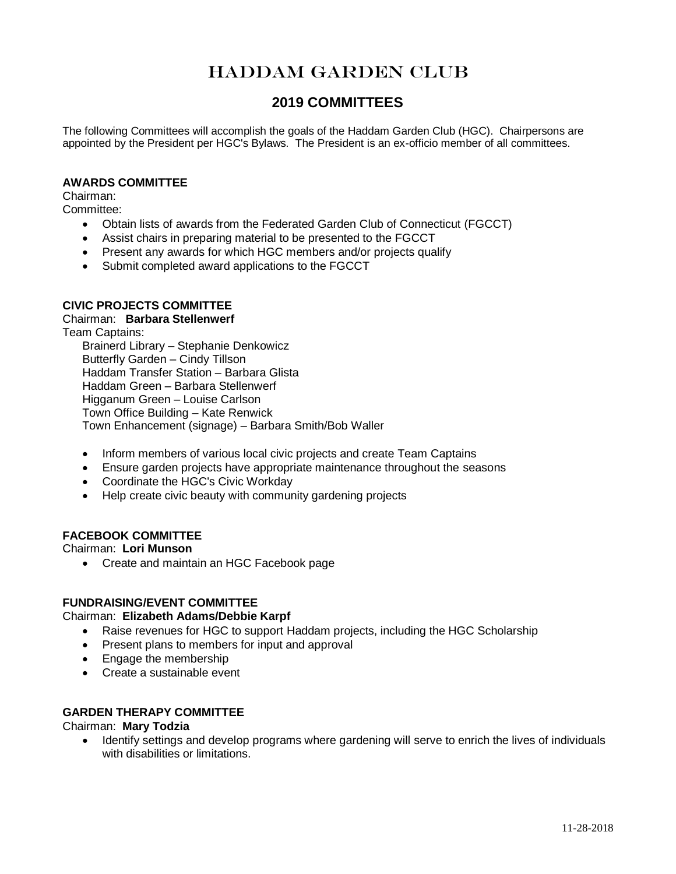# HADDAM GARDEN CLUB

## **2019 COMMITTEES**

The following Committees will accomplish the goals of the Haddam Garden Club (HGC). Chairpersons are appointed by the President per HGC's Bylaws. The President is an ex-officio member of all committees.

### **AWARDS COMMITTEE**

Chairman:

Committee:

- Obtain lists of awards from the Federated Garden Club of Connecticut (FGCCT)
- Assist chairs in preparing material to be presented to the FGCCT
- Present any awards for which HGC members and/or projects qualify
- Submit completed award applications to the FGCCT

### **CIVIC PROJECTS COMMITTEE**

### Chairman: **Barbara Stellenwerf**

Team Captains:

Brainerd Library – Stephanie Denkowicz Butterfly Garden – Cindy Tillson Haddam Transfer Station – Barbara Glista Haddam Green – Barbara Stellenwerf Higganum Green – Louise Carlson Town Office Building – Kate Renwick Town Enhancement (signage) – Barbara Smith/Bob Waller

- Inform members of various local civic projects and create Team Captains
- Ensure garden projects have appropriate maintenance throughout the seasons
- Coordinate the HGC's Civic Workday
- Help create civic beauty with community gardening projects

### **FACEBOOK COMMITTEE**

Chairman: **Lori Munson**

Create and maintain an HGC Facebook page

### **FUNDRAISING/EVENT COMMITTEE**

### Chairman: **Elizabeth Adams/Debbie Karpf**

- Raise revenues for HGC to support Haddam projects, including the HGC Scholarship
- Present plans to members for input and approval
- Engage the membership
- Create a sustainable event

### **GARDEN THERAPY COMMITTEE**

Chairman: **Mary Todzia**

• Identify settings and develop programs where gardening will serve to enrich the lives of individuals with disabilities or limitations.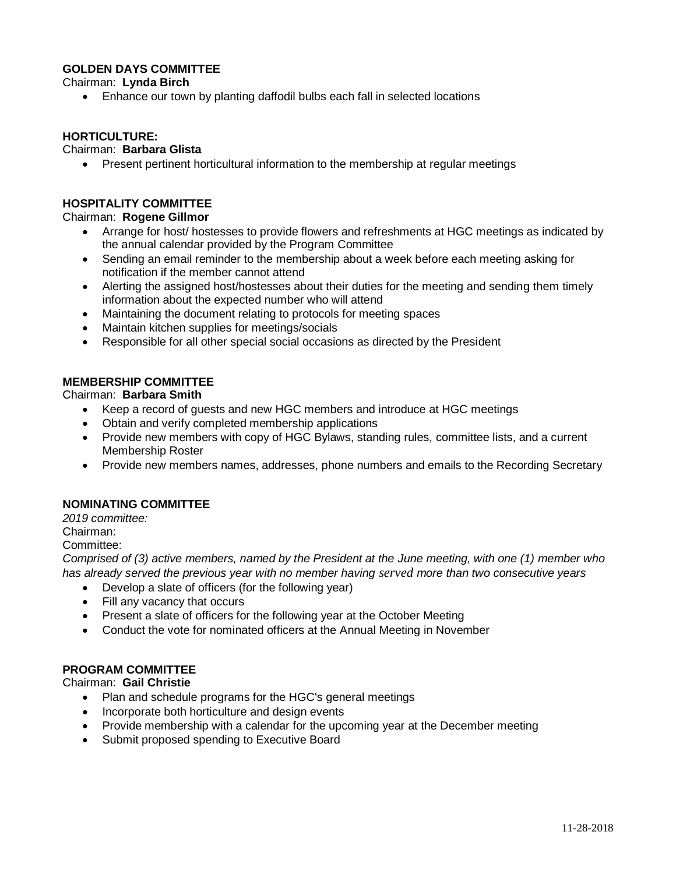### **GOLDEN DAYS COMMITTEE**

Chairman: **Lynda Birch**

Enhance our town by planting daffodil bulbs each fall in selected locations

### **HORTICULTURE:**

### Chairman: **Barbara Glista**

Present pertinent horticultural information to the membership at regular meetings

### **HOSPITALITY COMMITTEE**

### Chairman: **Rogene Gillmor**

- Arrange for host/ hostesses to provide flowers and refreshments at HGC meetings as indicated by the annual calendar provided by the Program Committee
- Sending an email reminder to the membership about a week before each meeting asking for notification if the member cannot attend
- Alerting the assigned host/hostesses about their duties for the meeting and sending them timely information about the expected number who will attend
- Maintaining the document relating to protocols for meeting spaces
- Maintain kitchen supplies for meetings/socials
- Responsible for all other special social occasions as directed by the President

### **MEMBERSHIP COMMITTEE**

Chairman: **Barbara Smith**

- Keep a record of guests and new HGC members and introduce at HGC meetings
- Obtain and verify completed membership applications
- Provide new members with copy of HGC Bylaws, standing rules, committee lists, and a current Membership Roster
- Provide new members names, addresses, phone numbers and emails to the Recording Secretary

### **NOMINATING COMMITTEE**

*2019 committee:* 

Chairman:

### Committee:

*Comprised of (3) active members, named by the President at the June meeting, with one (1) member who has already served the previous year with no member having served more than two consecutive years*

- Develop a slate of officers (for the following year)
- Fill any vacancy that occurs
- Present a slate of officers for the following year at the October Meeting
- Conduct the vote for nominated officers at the Annual Meeting in November

### **PROGRAM COMMITTEE**

Chairman: **Gail Christie**

- Plan and schedule programs for the HGC's general meetings
- Incorporate both horticulture and design events
- Provide membership with a calendar for the upcoming year at the December meeting
- Submit proposed spending to Executive Board